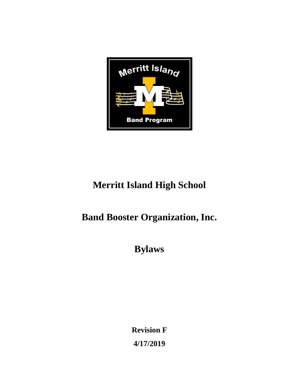

# **Merritt Island High School**

## **Band Booster Organization, Inc.**

**Bylaws**

**Revision F 4/17/2019**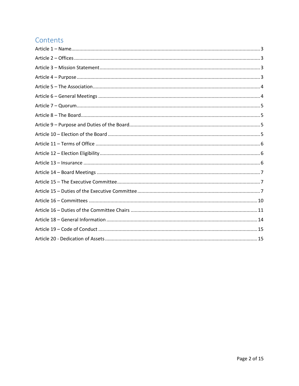## Contents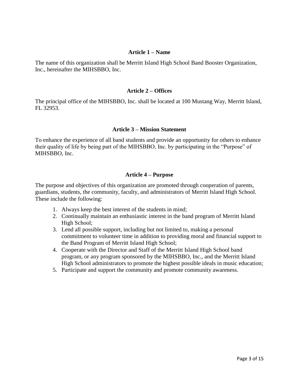#### **Article 1 – Name**

<span id="page-2-0"></span>The name of this organization shall be Merritt Island High School Band Booster Organization, Inc., hereinafter the MIHSBBO, Inc.

#### **Article 2 – Offices**

<span id="page-2-1"></span>The principal office of the MIHSBBO, Inc. shall be located at 100 Mustang Way, Merritt Island, FL 32953.

#### **Article 3 – Mission Statement**

<span id="page-2-2"></span>To enhance the experience of all band students and provide an opportunity for others to enhance their quality of life by being part of the MIHSBBO, Inc. by participating in the "Purpose" of MIHSBBO, Inc.

#### **Article 4 – Purpose**

<span id="page-2-3"></span>The purpose and objectives of this organization are promoted through cooperation of parents, guardians, students, the community, faculty, and administrators of Merritt Island High School. These include the following:

- 1. Always keep the best interest of the students in mind;
- 2. Continually maintain an enthusiastic interest in the band program of Merritt Island High School;
- 3. Lend all possible support, including but not limited to, making a personal commitment to volunteer time in addition to providing moral and financial support to the Band Program of Merritt Island High School;
- 4. Cooperate with the Director and Staff of the Merritt Island High School band program, or any program sponsored by the MIHSBBO, Inc., and the Merritt Island High School administrators to promote the highest possible ideals in music education;
- 5. Participate and support the community and promote community awareness.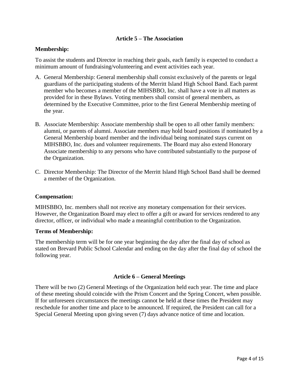## **Article 5 – The Association**

## <span id="page-3-0"></span>**Membership:**

To assist the students and Director in reaching their goals, each family is expected to conduct a minimum amount of fundraising/volunteering and event activities each year.

- A. General Membership: General membership shall consist exclusively of the parents or legal guardians of the participating students of the Merritt Island High School Band. Each parent member who becomes a member of the MIHSBBO, Inc. shall have a vote in all matters as provided for in these Bylaws. Voting members shall consist of general members, as determined by the Executive Committee, prior to the first General Membership meeting of the year.
- B. Associate Membership: Associate membership shall be open to all other family members: alumni, or parents of alumni. Associate members may hold board positions if nominated by a General Membership board member and the individual being nominated stays current on MIHSBBO, Inc. dues and volunteer requirements. The Board may also extend Honorary Associate membership to any persons who have contributed substantially to the purpose of the Organization.
- C. Director Membership: The Director of the Merritt Island High School Band shall be deemed a member of the Organization.

## **Compensation:**

MIHSBBO, Inc. members shall not receive any monetary compensation for their services. However, the Organization Board may elect to offer a gift or award for services rendered to any director, officer, or individual who made a meaningful contribution to the Organization.

#### **Terms of Membership:**

The membership term will be for one year beginning the day after the final day of school as stated on Brevard Public School Calendar and ending on the day after the final day of school the following year.

## **Article 6 – General Meetings**

<span id="page-3-1"></span>There will be two (2) General Meetings of the Organization held each year. The time and place of these meeting should coincide with the Prism Concert and the Spring Concert, when possible. If for unforeseen circumstances the meetings cannot be held at these times the President may reschedule for another time and place to be announced. If required, the President can call for a Special General Meeting upon giving seven (7) days advance notice of time and location.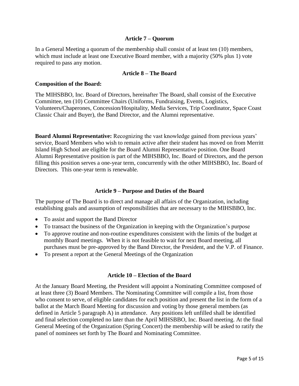## **Article 7 – Quorum**

<span id="page-4-0"></span>In a General Meeting a quorum of the membership shall consist of at least ten (10) members, which must include at least one Executive Board member, with a majority (50% plus 1) vote required to pass any motion.

#### **Article 8 – The Board**

#### <span id="page-4-1"></span>**Composition of the Board:**

The MIHSBBO, Inc. Board of Directors, hereinafter The Board, shall consist of the Executive Committee, ten (10) Committee Chairs (Uniforms, Fundraising, Events, Logistics, Volunteers/Chaperones, Concession/Hospitality, Media Services, Trip Coordinator, Space Coast Classic Chair and Buyer), the Band Director, and the Alumni representative.

**Board Alumni Representative:** Recognizing the vast knowledge gained from previous years' service, Board Members who wish to remain active after their student has moved on from Merritt Island High School are eligible for the Board Alumni Representative position. One Board Alumni Representative position is part of the MIHSBBO, Inc. Board of Directors, and the person filling this position serves a one-year term, concurrently with the other MIHSBBO, Inc. Board of Directors. This one-year term is renewable.

#### **Article 9 – Purpose and Duties of the Board**

<span id="page-4-2"></span>The purpose of The Board is to direct and manage all affairs of the Organization, including establishing goals and assumption of responsibilities that are necessary to the MIHSBBO, Inc.

- To assist and support the Band Director
- To transact the business of the Organization in keeping with the Organization's purpose
- To approve routine and non-routine expenditures consistent with the limits of the budget at monthly Board meetings. When it is not feasible to wait for next Board meeting, all purchases must be pre-approved by the Band Director, the President, and the V.P. of Finance.
- To present a report at the General Meetings of the Organization

#### **Article 10 – Election of the Board**

<span id="page-4-3"></span>At the January Board Meeting, the President will appoint a Nominating Committee composed of at least three (3) Board Members. The Nominating Committee will compile a list, from those who consent to serve, of eligible candidates for each position and present the list in the form of a ballot at the March Board Meeting for discussion and voting by those general members (as defined in Article 5 paragraph A) in attendance. Any positions left unfilled shall be identified and final selection completed no later than the April MIHSBBO, Inc. Board meeting. At the final General Meeting of the Organization (Spring Concert) the membership will be asked to ratify the panel of nominees set forth by The Board and Nominating Committee.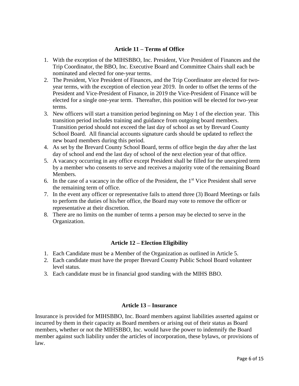## **Article 11 – Terms of Office**

- <span id="page-5-0"></span>1. With the exception of the MIHSBBO, Inc. President, Vice President of Finances and the Trip Coordinator, the BBO, Inc. Executive Board and Committee Chairs shall each be nominated and elected for one-year terms.
- 2. The President, Vice President of Finances, and the Trip Coordinator are elected for twoyear terms, with the exception of election year 2019. In order to offset the terms of the President and Vice-President of Finance, in 2019 the Vice-President of Finance will be elected for a single one-year term. Thereafter, this position will be elected for two-year terms.
- 3. New officers will start a transition period beginning on May 1 of the election year. This transition period includes training and guidance from outgoing board members. Transition period should not exceed the last day of school as set by Brevard County School Board. All financial accounts signature cards should be updated to reflect the new board members during this period.
- 4. As set by the Brevard County School Board, terms of office begin the day after the last day of school and end the last day of school of the next election year of that office.
- 5. A vacancy occurring in any office except President shall be filled for the unexpired term by a member who consents to serve and receives a majority vote of the remaining Board Members.
- 6. In the case of a vacancy in the office of the President, the  $1<sup>st</sup>$  Vice President shall serve the remaining term of office.
- 7. In the event any officer or representative fails to attend three (3) Board Meetings or fails to perform the duties of his/her office, the Board may vote to remove the officer or representative at their discretion.
- 8. There are no limits on the number of terms a person may be elected to serve in the Organization.

## **Article 12 – Election Eligibility**

- <span id="page-5-1"></span>1. Each Candidate must be a Member of the Organization as outlined in Article 5.
- 2. Each candidate must have the proper Brevard County Public School Board volunteer level status.
- 3. Each candidate must be in financial good standing with the MIHS BBO.

## **Article 13 – Insurance**

<span id="page-5-2"></span>Insurance is provided for MIHSBBO, Inc. Board members against liabilities asserted against or incurred by them in their capacity as Board members or arising out of their status as Board members, whether or not the MIHSBBO, Inc. would have the power to indemnify the Board member against such liability under the articles of incorporation, these bylaws, or provisions of law.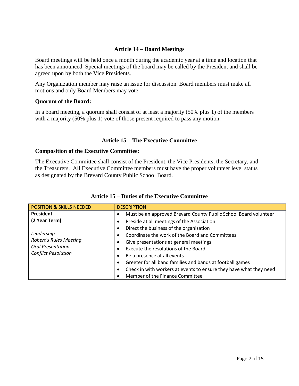## **Article 14 – Board Meetings**

<span id="page-6-0"></span>Board meetings will be held once a month during the academic year at a time and location that has been announced. Special meetings of the board may be called by the President and shall be agreed upon by both the Vice Presidents.

Any Organization member may raise an issue for discussion. Board members must make all motions and only Board Members may vote.

## **Quorum of the Board:**

In a board meeting, a quorum shall consist of at least a majority (50% plus 1) of the members with a majority (50% plus 1) vote of those present required to pass any motion.

## **Article 15 – The Executive Committee**

#### <span id="page-6-1"></span>**Composition of the Executive Committee:**

The Executive Committee shall consist of the President, the Vice Presidents, the Secretary, and the Treasurers. All Executive Committee members must have the proper volunteer level status as designated by the Brevard County Public School Board.

<span id="page-6-2"></span>

| <b>POSITION &amp; SKILLS NEEDED</b>                                                            | <b>DESCRIPTION</b>                                                 |
|------------------------------------------------------------------------------------------------|--------------------------------------------------------------------|
| <b>President</b>                                                                               | Must be an approved Brevard County Public School Board volunteer   |
| (2 Year Term)                                                                                  | Preside at all meetings of the Association                         |
| Leadership<br>Robert's Rules Meeting<br><b>Oral Presentation</b><br><b>Conflict Resolution</b> | Direct the business of the organization                            |
|                                                                                                | Coordinate the work of the Board and Committees                    |
|                                                                                                | Give presentations at general meetings                             |
|                                                                                                | Execute the resolutions of the Board                               |
|                                                                                                | Be a presence at all events                                        |
|                                                                                                | Greeter for all band families and bands at football games          |
|                                                                                                | Check in with workers at events to ensure they have what they need |
|                                                                                                | Member of the Finance Committee                                    |

## **Article 15 – Duties of the Executive Committee**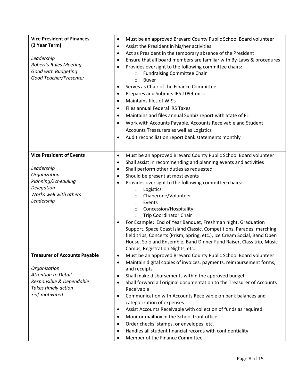| <b>Vice President of Finances</b>    | Must be an approved Brevard County Public School Board volunteer<br>$\bullet$                                                                    |
|--------------------------------------|--------------------------------------------------------------------------------------------------------------------------------------------------|
| (2 Year Term)                        | Assist the President in his/her activities<br>$\bullet$                                                                                          |
|                                      | Act as President in the temporary absence of the President<br>$\bullet$                                                                          |
| Leadership                           | Ensure that all board members are familiar with By-Laws & procedures<br>$\bullet$                                                                |
| Robert's Rules Meeting               | Provides oversight to the following committee chairs:<br>$\bullet$                                                                               |
| Good with Budgeting                  | <b>Fundraising Committee Chair</b><br>$\circ$                                                                                                    |
| Good Teacher/Presenter               | <b>Buyer</b><br>$\circ$                                                                                                                          |
|                                      | Serves as Chair of the Finance Committee<br>$\bullet$                                                                                            |
|                                      | Prepares and Submits IRS 1099-misc<br>$\bullet$                                                                                                  |
|                                      | Maintains files of W-9s<br>$\bullet$                                                                                                             |
|                                      | Files annual Federal IRS Taxes<br>$\bullet$                                                                                                      |
|                                      | Maintains and files annual Sunbiz report with State of FL<br>$\bullet$                                                                           |
|                                      | Work with Accounts Payable, Accounts Receivable and Student<br>$\bullet$                                                                         |
|                                      | Accounts Treasurers as well as Logistics                                                                                                         |
|                                      | Audit reconciliation report bank statements monthly<br>$\bullet$                                                                                 |
|                                      |                                                                                                                                                  |
|                                      |                                                                                                                                                  |
| <b>Vice President of Events</b>      | Must be an approved Brevard County Public School Board volunteer<br>$\bullet$                                                                    |
|                                      | Shall assist in recommending and planning events and activities<br>$\bullet$                                                                     |
| Leadership                           | Shall perform other duties as requested<br>$\bullet$                                                                                             |
| Organization                         | Should be present at most events<br>$\bullet$                                                                                                    |
| Planning/Scheduling                  | Provides oversight to the following committee chairs:<br>$\bullet$                                                                               |
| Delegation<br>Works well with others | Logistics<br>$\circ$                                                                                                                             |
| Leadership                           | Chaperone/Volunteer<br>$\circ$                                                                                                                   |
|                                      | Events<br>$\circ$                                                                                                                                |
|                                      | Concession/Hospitality<br>$\circ$                                                                                                                |
|                                      | <b>Trip Coordinator Chair</b><br>$\circ$                                                                                                         |
|                                      | For Example: End of Year Banquet, Freshman night, Graduation                                                                                     |
|                                      | Support, Space Coast Island Classic, Competitions, Parades, marching<br>field trips, Concerts (Prism, Spring, etc.), Ice Cream Social, Band Open |
|                                      | House, Solo and Ensemble, Band Dinner Fund Raiser, Class trip, Music                                                                             |
|                                      | Camps, Registration Nights, etc.                                                                                                                 |
| <b>Treasurer of Accounts Payable</b> | Must be an approved Brevard County Public School Board volunteer<br>٠                                                                            |
|                                      | Maintain digital copies of invoices, payments, reimbursement forms,<br>$\bullet$                                                                 |
| Organization                         | and receipts                                                                                                                                     |
| <b>Attention to Detail</b>           | Shall make disbursements within the approved budget<br>$\bullet$                                                                                 |
| Responsible & Dependable             | Shall forward all original documentation to the Treasurer of Accounts<br>$\bullet$                                                               |
| Takes timely action                  | Receivable                                                                                                                                       |
| Self-motivated                       | Communication with Accounts Receivable on bank balances and<br>$\bullet$                                                                         |
|                                      | categorization of expenses                                                                                                                       |
|                                      | Assist Accounts Receivable with collection of funds as required<br>$\bullet$                                                                     |
|                                      | Monitor mailbox in the School front office<br>$\bullet$                                                                                          |
|                                      | Order checks, stamps, or envelopes, etc.<br>$\bullet$                                                                                            |
|                                      | Handles all student financial records with confidentiality<br>$\bullet$                                                                          |
|                                      | Member of the Finance Committee<br>$\bullet$                                                                                                     |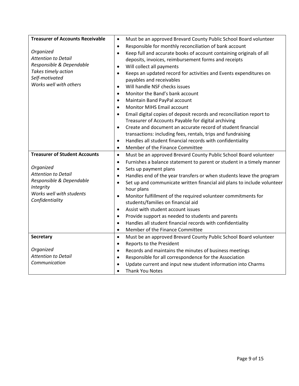| <b>Treasurer of Accounts Receivable</b>      | Must be an approved Brevard County Public School Board volunteer<br>$\bullet$        |
|----------------------------------------------|--------------------------------------------------------------------------------------|
|                                              | Responsible for monthly reconciliation of bank account<br>$\bullet$                  |
| Organized                                    | Keep full and accurate books of account containing originals of all<br>$\bullet$     |
| <b>Attention to Detail</b>                   | deposits, invoices, reimbursement forms and receipts                                 |
| Responsible & Dependable                     | Will collect all payments<br>٠                                                       |
| Takes timely action                          | Keeps an updated record for activities and Events expenditures on<br>$\bullet$       |
| Self-motivated                               | payables and receivables                                                             |
| Works well with others                       | Will handle NSF checks issues<br>$\bullet$                                           |
|                                              | Monitor the Band's bank account                                                      |
|                                              | $\bullet$                                                                            |
|                                              | Maintain Band PayPal account<br>$\bullet$                                            |
|                                              | <b>Monitor MIHS Email account</b><br>$\bullet$                                       |
|                                              | Email digital copies of deposit records and reconciliation report to<br>$\bullet$    |
|                                              | Treasurer of Accounts Payable for digital archiving                                  |
|                                              | Create and document an accurate record of student financial<br>$\bullet$             |
|                                              | transactions: including fees, rentals, trips and fundraising                         |
|                                              | Handles all student financial records with confidentiality<br>$\bullet$              |
|                                              | Member of the Finance Committee<br>$\bullet$                                         |
| <b>Treasurer of Student Accounts</b>         | Must be an approved Brevard County Public School Board volunteer<br>$\bullet$        |
|                                              | Furnishes a balance statement to parent or student in a timely manner<br>$\bullet$   |
| Organized                                    | Sets up payment plans<br>$\bullet$                                                   |
| <b>Attention to Detail</b>                   | Handles end of the year transfers or when students leave the program<br>$\bullet$    |
| Responsible & Dependable                     | Set up and communicate written financial aid plans to include volunteer<br>$\bullet$ |
| <b>Integrity</b><br>Works well with students | hour plans                                                                           |
|                                              | Monitor fulfillment of the required volunteer commitments for<br>$\bullet$           |
| Confidentiality                              | students/families on financial aid                                                   |
|                                              | Assist with student account issues<br>$\bullet$                                      |
|                                              | Provide support as needed to students and parents<br>$\bullet$                       |
|                                              | Handles all student financial records with confidentiality<br>$\bullet$              |
|                                              | Member of the Finance Committee<br>$\bullet$                                         |
| <b>Secretary</b>                             | Must be an approved Brevard County Public School Board volunteer<br>$\bullet$        |
|                                              | Reports to the President<br>$\bullet$                                                |
| Organized                                    | Records and maintains the minutes of business meetings<br>$\bullet$                  |
| <b>Attention to Detail</b>                   | Responsible for all correspondence for the Association<br>$\bullet$                  |
| Communication                                | Update current and input new student information into Charms<br>$\bullet$            |
|                                              | <b>Thank You Notes</b><br>$\bullet$                                                  |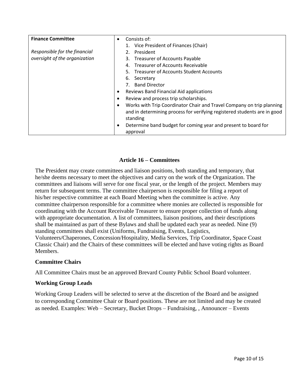| <b>Finance Committee</b>      | Consists of:<br>$\bullet$                                                                                                                                     |  |  |
|-------------------------------|---------------------------------------------------------------------------------------------------------------------------------------------------------------|--|--|
|                               | 1. Vice President of Finances (Chair)                                                                                                                         |  |  |
| Responsible for the financial | President                                                                                                                                                     |  |  |
| oversight of the organization | 3. Treasurer of Accounts Payable                                                                                                                              |  |  |
|                               | <b>Treasurer of Accounts Receivable</b><br>4.                                                                                                                 |  |  |
|                               | 5. Treasurer of Accounts Student Accounts                                                                                                                     |  |  |
|                               | Secretary<br>6.                                                                                                                                               |  |  |
|                               | <b>Band Director</b>                                                                                                                                          |  |  |
|                               | Reviews Band Financial Aid applications                                                                                                                       |  |  |
|                               | Review and process trip scholarships.                                                                                                                         |  |  |
|                               | Works with Trip Coordinator Chair and Travel Company on trip planning<br>and in determining process for verifying registered students are in good<br>standing |  |  |
|                               | Determine band budget for coming year and present to board for<br>approval                                                                                    |  |  |

## **Article 16 – Committees**

<span id="page-9-0"></span>The President may create committees and liaison positions, both standing and temporary, that he/she deems necessary to meet the objectives and carry on the work of the Organization. The committees and liaisons will serve for one fiscal year, or the length of the project. Members may return for subsequent terms. The committee chairperson is responsible for filing a report of his/her respective committee at each Board Meeting when the committee is active. Any committee chairperson responsible for a committee where monies are collected is responsible for coordinating with the Account Receivable Treasurer to ensure proper collection of funds along with appropriate documentation. A list of committees, liaison positions, and their descriptions shall be maintained as part of these Bylaws and shall be updated each year as needed. Nine (9) standing committees shall exist (Uniforms, Fundraising, Events, Logistics, Volunteers/Chaperones, Concession/Hospitality, Media Services, Trip Coordinator, Space Coast Classic Chair) and the Chairs of these committees will be elected and have voting rights as Board Members.

## **Committee Chairs**

All Committee Chairs must be an approved Brevard County Public School Board volunteer.

## **Working Group Leads**

Working Group Leaders will be selected to serve at the discretion of the Board and be assigned to corresponding Committee Chair or Board positions. These are not limited and may be created as needed. Examples: Web – Secretary, Bucket Drops – Fundraising, , Announcer – Events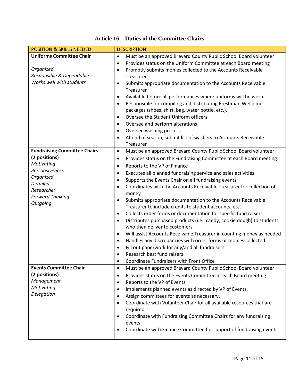<span id="page-10-0"></span>

| <b>POSITION &amp; SKILLS NEEDED</b> | <b>DESCRIPTION</b>                                                                  |
|-------------------------------------|-------------------------------------------------------------------------------------|
| <b>Uniforms Committee Chair</b>     | Must be an approved Brevard County Public School Board volunteer<br>$\bullet$       |
|                                     | Provides status on the Uniform Committee at each Board meeting<br>٠                 |
| Organized                           | Promptly submits monies collected to the Accounts Receivable<br>$\bullet$           |
| Responsible & Dependable            | Treasurer                                                                           |
| Works well with students            | Submits appropriate documentation to the Accounts Receivable<br>٠                   |
|                                     | Treasurer                                                                           |
|                                     | Available before all performances where uniforms will be worn<br>٠                  |
|                                     | Responsible for compiling and distributing Freshman Welcome<br>$\bullet$            |
|                                     | packages (shoes, shirt, bag, water bottle, etc.).                                   |
|                                     | Oversee the Student Uniform officers<br>$\bullet$                                   |
|                                     | Oversee and perform alterations<br>٠                                                |
|                                     | Oversee washing process<br>$\bullet$                                                |
|                                     | At end of season, submit list of washers to Accounts Receivable<br>٠                |
|                                     | Treasurer                                                                           |
| <b>Fundraising Committee Chairs</b> | Must be an approved Brevard County Public School Board volunteer<br>$\bullet$       |
| (2 positions)                       | Provides status on the Fundraising Committee at each Board meeting<br>٠             |
| Motivating                          | Reports to the VP of Finance<br>$\bullet$                                           |
| Persuasiveness                      | Executes all planned fundraising service and sales activities<br>٠                  |
| Organized<br><b>Detailed</b>        | Supports the Events Chair on all fundraising events<br>٠                            |
| Researcher                          | Coordinates with the Accounts Receivable Treasurer for collection of<br>$\bullet$   |
| <b>Forward Thinking</b>             | money                                                                               |
| Outgoing                            | Submits appropriate documentation to the Accounts Receivable<br>٠                   |
|                                     | Treasurer to include credits to student accounts, etc.                              |
|                                     | Collects order forms or documentation for specific fund raisers<br>٠                |
|                                     | Distributes purchased products (i.e., candy, cookie dough) to students<br>$\bullet$ |
|                                     | who then deliver to customers                                                       |
|                                     | Will assist Accounts Receivable Treasurer in counting money as needed<br>$\bullet$  |
|                                     | Handles any discrepancies with order forms or monies collected<br>٠                 |
|                                     | Fill out paperwork for any/and all fundraisers<br>٠                                 |
|                                     | Research best fund raisers                                                          |
|                                     | Coordinate Fundraisers with Front Office<br>$\bullet$                               |
| <b>Events Committee Chair</b>       | Must be an approved Brevard County Public School Board volunteer<br>٠               |
| (2 positions)                       | Provides status on the Events Committee at each Board meeting<br>٠                  |
| Management                          | Reports to the VP of Events<br>٠                                                    |
| Motivating                          | Implements planned events as directed by VP of Events.<br>٠                         |
| Delegation                          | Assign committees for events as necessary.<br>٠                                     |
|                                     | Coordinate with Volunteer Chair for all available resources that are<br>٠           |
|                                     | required.                                                                           |
|                                     | Coordinate with Fundraising Committee Chairs for any fundraising<br>٠               |
|                                     | events                                                                              |
|                                     | Coordinate with Finance Committee for support of fundraising events<br>٠            |
|                                     |                                                                                     |

## **Article 16 – Duties of the Committee Chairs**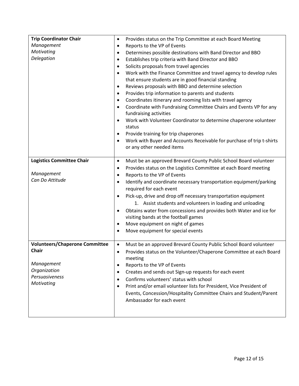| <b>Trip Coordinator Chair</b><br>Management<br>Motivating<br>Delegation                                                    | Provides status on the Trip Committee at each Board Meeting<br>$\bullet$<br>Reports to the VP of Events<br>٠<br>Determines possible destinations with Band Director and BBO<br>٠<br>Establishes trip criteria with Band Director and BBO<br>$\bullet$<br>Solicits proposals from travel agencies<br>$\bullet$<br>Work with the Finance Committee and travel agency to develop rules<br>$\bullet$<br>that ensure students are in good financial standing<br>Reviews proposals with BBO and determine selection<br>$\bullet$<br>Provides trip information to parents and students<br>$\bullet$<br>Coordinates itinerary and rooming lists with travel agency<br>$\bullet$<br>Coordinate with Fundraising Committee Chairs and Events VP for any<br>$\bullet$<br>fundraising activities<br>Work with Volunteer Coordinator to determine chaperone volunteer<br>$\bullet$<br>status<br>Provide training for trip chaperones<br>$\bullet$<br>Work with Buyer and Accounts Receivable for purchase of trip t-shirts<br>$\bullet$<br>or any other needed items |
|----------------------------------------------------------------------------------------------------------------------------|---------------------------------------------------------------------------------------------------------------------------------------------------------------------------------------------------------------------------------------------------------------------------------------------------------------------------------------------------------------------------------------------------------------------------------------------------------------------------------------------------------------------------------------------------------------------------------------------------------------------------------------------------------------------------------------------------------------------------------------------------------------------------------------------------------------------------------------------------------------------------------------------------------------------------------------------------------------------------------------------------------------------------------------------------------|
| <b>Logistics Committee Chair</b><br>Management<br>Can Do Attitude                                                          | Must be an approved Brevard County Public School Board volunteer<br>$\bullet$<br>Provides status on the Logistics Committee at each Board meeting<br>٠<br>Reports to the VP of Events<br>$\bullet$<br>Identify and coordinate necessary transportation equipment/parking<br>٠<br>required for each event<br>Pick-up, drive and drop off necessary transportation equipment<br>٠<br>1. Assist students and volunteers in loading and unloading<br>Obtains water from concessions and provides both Water and ice for<br>٠<br>visiting bands at the football games<br>Move equipment on night of games<br>٠<br>Move equipment for special events<br>$\bullet$                                                                                                                                                                                                                                                                                                                                                                                             |
| <b>Volunteers/Chaperone Committee</b><br><b>Chair</b><br>Management<br>Organization<br><b>Persuasiveness</b><br>Motivating | Must be an approved Brevard County Public School Board volunteer<br>$\bullet$<br>Provides status on the Volunteer/Chaperone Committee at each Board<br>$\bullet$<br>meeting<br>Reports to the VP of Events<br>٠<br>Creates and sends out Sign-up requests for each event<br>٠<br>Confirms volunteers' status with school<br>$\bullet$<br>Print and/or email volunteer lists for President, Vice President of<br>$\bullet$<br>Events, Concession/Hospitality Committee Chairs and Student/Parent<br>Ambassador for each event                                                                                                                                                                                                                                                                                                                                                                                                                                                                                                                            |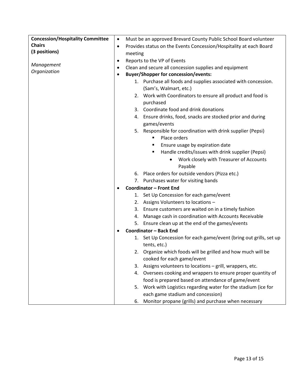| <b>Concession/Hospitality Committee</b> | $\bullet$                                                                       | Must be an approved Brevard County Public School Board volunteer                         |  |  |
|-----------------------------------------|---------------------------------------------------------------------------------|------------------------------------------------------------------------------------------|--|--|
| <b>Chairs</b>                           | Provides status on the Events Concession/Hospitality at each Board<br>$\bullet$ |                                                                                          |  |  |
| (3 positions)                           | meeting                                                                         |                                                                                          |  |  |
|                                         | $\bullet$                                                                       | Reports to the VP of Events                                                              |  |  |
| Management                              | $\bullet$                                                                       | Clean and secure all concession supplies and equipment                                   |  |  |
| Organization                            | $\bullet$                                                                       | <b>Buyer/Shopper for concession/events:</b>                                              |  |  |
|                                         |                                                                                 | 1. Purchase all foods and supplies associated with concession.<br>(Sam's, Walmart, etc.) |  |  |
|                                         |                                                                                 | 2. Work with Coordinators to ensure all product and food is                              |  |  |
|                                         |                                                                                 | purchased                                                                                |  |  |
|                                         |                                                                                 | 3. Coordinate food and drink donations                                                   |  |  |
|                                         |                                                                                 | 4. Ensure drinks, food, snacks are stocked prior and during<br>games/events              |  |  |
|                                         |                                                                                 | 5. Responsible for coordination with drink supplier (Pepsi)                              |  |  |
|                                         |                                                                                 | Place orders                                                                             |  |  |
|                                         |                                                                                 | Ensure usage by expiration date<br>п                                                     |  |  |
|                                         |                                                                                 | Handle credits/issues with drink supplier (Pepsi)<br>٠                                   |  |  |
|                                         |                                                                                 | Work closely with Treasurer of Accounts<br>$\bullet$                                     |  |  |
|                                         |                                                                                 | Payable                                                                                  |  |  |
|                                         |                                                                                 | 6. Place orders for outside vendors (Pizza etc.)                                         |  |  |
|                                         |                                                                                 | 7. Purchases water for visiting bands                                                    |  |  |
|                                         | $\bullet$                                                                       | Coordinator - Front End                                                                  |  |  |
|                                         |                                                                                 | 1. Set Up Concession for each game/event                                                 |  |  |
|                                         |                                                                                 | 2. Assigns Volunteers to locations -                                                     |  |  |
|                                         |                                                                                 | 3. Ensure customers are waited on in a timely fashion                                    |  |  |
|                                         | 4.                                                                              | Manage cash in coordination with Accounts Receivable                                     |  |  |
|                                         |                                                                                 | 5. Ensure clean up at the end of the games/events                                        |  |  |
|                                         |                                                                                 | Coordinator - Back End                                                                   |  |  |
|                                         | 1.                                                                              | Set Up Concession for each game/event (bring out grills, set up                          |  |  |
|                                         |                                                                                 | tents, etc.)                                                                             |  |  |
|                                         | 2.                                                                              | Organize which foods will be grilled and how much will be                                |  |  |
|                                         |                                                                                 | cooked for each game/event                                                               |  |  |
|                                         | 3.                                                                              | Assigns volunteers to locations - grill, wrappers, etc.                                  |  |  |
|                                         |                                                                                 | 4. Oversees cooking and wrappers to ensure proper quantity of                            |  |  |
|                                         |                                                                                 | food is prepared based on attendance of game/event                                       |  |  |
|                                         | 5.                                                                              | Work with Logistics regarding water for the stadium (ice for                             |  |  |
|                                         |                                                                                 | each game stadium and concession)                                                        |  |  |
|                                         | 6.                                                                              | Monitor propane (grills) and purchase when necessary                                     |  |  |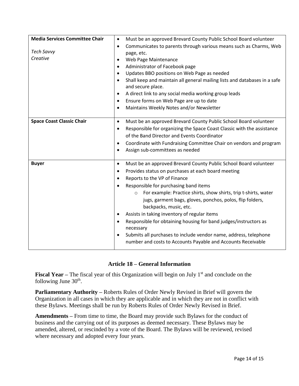| <b>Media Services Committee Chair</b> | Must be an approved Brevard County Public School Board volunteer<br>$\bullet$          |
|---------------------------------------|----------------------------------------------------------------------------------------|
|                                       | Communicates to parents through various means such as Charms, Web<br>$\bullet$         |
| <b>Tech Savvy</b>                     | page, etc.                                                                             |
| Creative                              | Web Page Maintenance<br>٠                                                              |
|                                       | Administrator of Facebook page<br>$\bullet$                                            |
|                                       | Updates BBO positions on Web Page as needed<br>$\bullet$                               |
|                                       | Shall keep and maintain all general mailing lists and databases in a safe<br>$\bullet$ |
|                                       | and secure place.                                                                      |
|                                       | A direct link to any social media working group leads<br>$\bullet$                     |
|                                       | Ensure forms on Web Page are up to date<br>$\bullet$                                   |
|                                       | Maintains Weekly Notes and/or Newsletter<br>$\bullet$                                  |
| <b>Space Coast Classic Chair</b>      | Must be an approved Brevard County Public School Board volunteer<br>$\bullet$          |
|                                       | Responsible for organizing the Space Coast Classic with the assistance<br>٠            |
|                                       | of the Band Director and Events Coordinator                                            |
|                                       | Coordinate with Fundraising Committee Chair on vendors and program<br>$\bullet$        |
|                                       | Assign sub-committees as needed<br>٠                                                   |
|                                       |                                                                                        |
| <b>Buyer</b>                          | Must be an approved Brevard County Public School Board volunteer<br>$\bullet$          |
|                                       | Provides status on purchases at each board meeting<br>$\bullet$                        |
|                                       | Reports to the VP of Finance<br>$\bullet$                                              |
|                                       | Responsible for purchasing band items<br>$\bullet$                                     |
|                                       | For example: Practice shirts, show shirts, trip t-shirts, water<br>$\circ$             |
|                                       | jugs, garment bags, gloves, ponchos, polos, flip folders,                              |
|                                       | backpacks, music, etc.                                                                 |
|                                       | Assists in taking inventory of regular items<br>$\bullet$                              |
|                                       | Responsible for obtaining housing for band judges/instructors as                       |
|                                       | necessary                                                                              |
|                                       | Submits all purchases to include vendor name, address, telephone                       |
|                                       | number and costs to Accounts Payable and Accounts Receivable                           |
|                                       |                                                                                        |

## **Article 18 – General Information**

<span id="page-13-0"></span>**Fiscal Year –** The fiscal year of this Organization will begin on July 1<sup>st</sup> and conclude on the following June  $30<sup>th</sup>$ .

**Parliamentary Authority –** Roberts Rules of Order Newly Revised in Brief will govern the Organization in all cases in which they are applicable and in which they are not in conflict with these Bylaws. Meetings shall be run by Roberts Rules of Order Newly Revised in Brief.

**Amendments –** From time to time, the Board may provide such Bylaws for the conduct of business and the carrying out of its purposes as deemed necessary. These Bylaws may be amended, altered, or rescinded by a vote of the Board. The Bylaws will be reviewed, revised where necessary and adopted every four years.